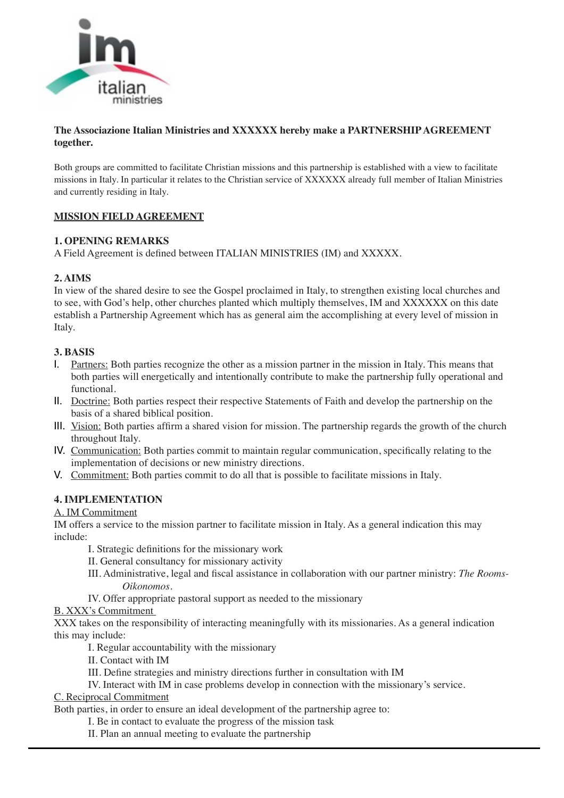

### **The Associazione Italian Ministries and XXXXXX hereby make a PARTNERSHIP AGREEMENT together.**

Both groups are committed to facilitate Christian missions and this partnership is established with a view to facilitate missions in Italy. In particular it relates to the Christian service of XXXXXX already full member of Italian Ministries and currently residing in Italy.

### **MISSION FIELD AGREEMENT**

### **1. OPENING REMARKS**

A Field Agreement is defined between ITALIAN MINISTRIES (IM) and XXXXX.

## **2. AIMS**

In view of the shared desire to see the Gospel proclaimed in Italy, to strengthen existing local churches and to see, with God's help, other churches planted which multiply themselves, IM and XXXXXX on this date establish a Partnership Agreement which has as general aim the accomplishing at every level of mission in Italy.

## **3. BASIS**

- I. Partners: Both parties recognize the other as a mission partner in the mission in Italy. This means that both parties will energetically and intentionally contribute to make the partnership fully operational and functional.
- II. Doctrine: Both parties respect their respective Statements of Faith and develop the partnership on the basis of a shared biblical position.
- III. Vision: Both parties affirm a shared vision for mission. The partnership regards the growth of the church throughout Italy.
- IV. Communication: Both parties commit to maintain regular communication, specifically relating to the implementation of decisions or new ministry directions.
- V. Commitment: Both parties commit to do all that is possible to facilitate missions in Italy.

### **4. IMPLEMENTATION**

### A. IM Commitment

IM offers a service to the mission partner to facilitate mission in Italy. As a general indication this may include:

- I. Strategic definitions for the missionary work
- II. General consultancy for missionary activity
- III. Administrative, legal and fiscal assistance in collaboration with our partner ministry: *The Rooms-Oikonomos*.
- IV. Offer appropriate pastoral support as needed to the missionary

# B. XXX's Commitment

XXX takes on the responsibility of interacting meaningfully with its missionaries. As a general indication this may include:

- I. Regular accountability with the missionary
- II. Contact with IM
- III. Define strategies and ministry directions further in consultation with IM
- IV. Interact with IM in case problems develop in connection with the missionary's service.

C. Reciprocal Commitment

Both parties, in order to ensure an ideal development of the partnership agree to:

- I. Be in contact to evaluate the progress of the mission task
- II. Plan an annual meeting to evaluate the partnership